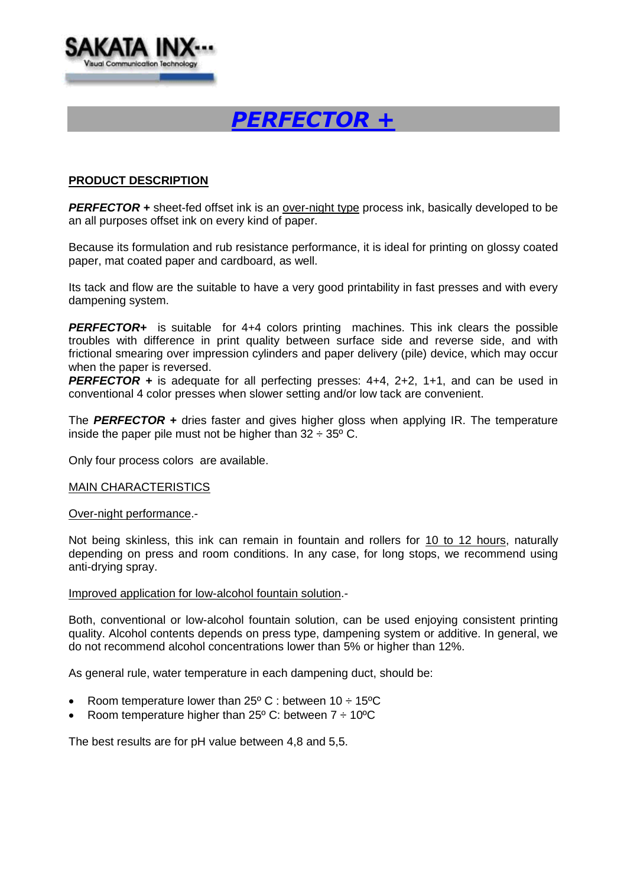

# *PERFECTOR +*

## **PRODUCT DESCRIPTION**

**PERFECTOR +** sheet-fed offset ink is an over-night type process ink, basically developed to be an all purposes offset ink on every kind of paper.

Because its formulation and rub resistance performance, it is ideal for printing on glossy coated paper, mat coated paper and cardboard, as well.

Its tack and flow are the suitable to have a very good printability in fast presses and with every dampening system.

*PERFECTOR+* is suitable for 4+4 colors printing machines. This ink clears the possible troubles with difference in print quality between surface side and reverse side, and with frictional smearing over impression cylinders and paper delivery (pile) device, which may occur when the paper is reversed.

*PERFECTOR +* is adequate for all perfecting presses: 4+4, 2+2, 1+1, and can be used in conventional 4 color presses when slower setting and/or low tack are convenient.

The *PERFECTOR +* dries faster and gives higher gloss when applying IR. The temperature inside the paper pile must not be higher than  $32 \div 35^{\circ}$  C.

Only four process colors are available.

#### MAIN CHARACTERISTICS

#### Over-night performance.-

Not being skinless, this ink can remain in fountain and rollers for 10 to 12 hours, naturally depending on press and room conditions. In any case, for long stops, we recommend using anti-drying spray.

#### Improved application for low-alcohol fountain solution.-

Both, conventional or low-alcohol fountain solution, can be used enjoying consistent printing quality. Alcohol contents depends on press type, dampening system or additive. In general, we do not recommend alcohol concentrations lower than 5% or higher than 12%.

As general rule, water temperature in each dampening duct, should be:

- Room temperature lower than  $25^{\circ}$  C : between  $10 \div 15^{\circ}$ C
- Room temperature higher than 25 $\degree$  C: between  $7 \div 10\degree$ C

The best results are for pH value between 4,8 and 5,5.